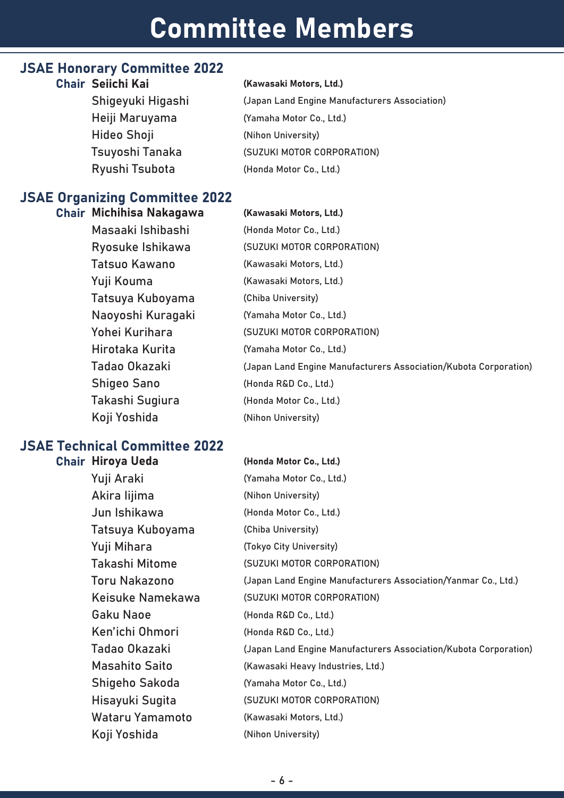# Committee Members

### JSAE Honorary Committee 2022

Shigeyuki Higashi Heiji Maruyama Hideo Shoji Tsuyoshi Tanaka Ryushi Tsubota

#### Chair Seiichi Kai **Mahari (Kawasaki Motors, Ltd.**)

(Japan Land Engine Manufacturers Association) (Yamaha Motor Co., Ltd.) (Nihon University) (SUZUKI MOTOR CORPORATION) (Honda Motor Co., Ltd.)

# JSAE Organizing Committee 2022

Chair Michihisa Nakagawa Masaaki Ishibashi Ryosuke Ishikawa Tatsuo Kawano Yuji Kouma Tatsuya Kuboyama Naoyoshi Kuragaki Yohei Kurihara Hirotaka Kurita Tadao Okazaki Shigeo Sano Takashi Sugiura Koji Yoshida

### (Kawasaki Motors, Ltd.)

(Honda Motor Co., Ltd.) (SUZUKI MOTOR CORPORATION) (Kawasaki Motors, Ltd.) (Kawasaki Motors, Ltd.) (Chiba University) (Yamaha Motor Co., Ltd.) (SUZUKI MOTOR CORPORATION) (Yamaha Motor Co., Ltd.) (Japan Land Engine Manufacturers Association/Kubota Corporation) (Honda R&D Co., Ltd.) (Honda Motor Co., Ltd.) (Nihon University)

# JSAE Technical Committee 2022

### Chair Hiroya Ueda

Yuji Araki Akira Iijima Jun Ishikawa Tatsuya Kuboyama Yuji Mihara Takashi Mitome Toru Nakazono Keisuke Namekawa Gaku Naoe Ken'ichi Ohmori Tadao Okazaki Masahito Saito Shigeho Sakoda Hisayuki Sugita Wataru Yamamoto Koji Yoshida (Honda Motor Co., Ltd.) (Yamaha Motor Co., Ltd.) (Nihon University) (Honda Motor Co., Ltd.) (Chiba University) (Tokyo City University) (SUZUKI MOTOR CORPORATION) (Japan Land Engine Manufacturers Association/Yanmar Co., Ltd.) (SUZUKI MOTOR CORPORATION) (Honda R&D Co., Ltd.) (Honda R&D Co., Ltd.) (Japan Land Engine Manufacturers Association/Kubota Corporation) (Kawasaki Heavy Industries, Ltd.) (Yamaha Motor Co., Ltd.) (SUZUKI MOTOR CORPORATION) (Kawasaki Motors, Ltd.) (Nihon University)